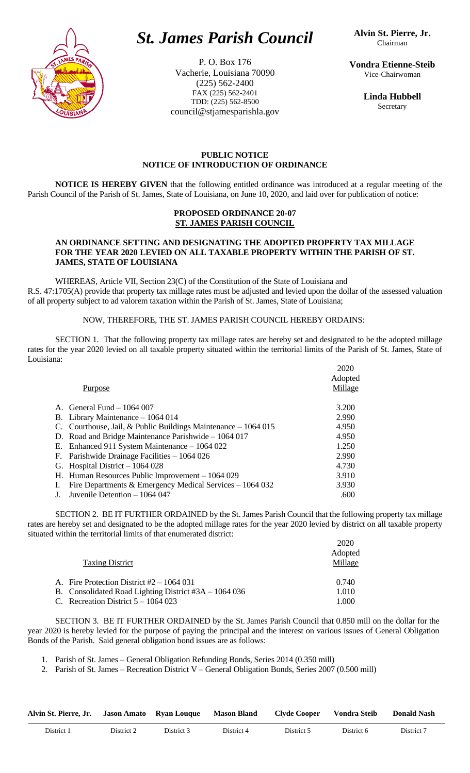

# *St. James Parish Council*

P. O. Box 176 Vacherie, Louisiana 70090 (225) 562-2400 FAX (225) 562-2401 TDD: (225) 562-8500 council@stjamesparishla.gov

**Vondra Etienne-Steib** Vice-Chairwoman

> **Linda Hubbell** Secretary

## **PUBLIC NOTICE NOTICE OF INTRODUCTION OF ORDINANCE**

**NOTICE IS HEREBY GIVEN** that the following entitled ordinance was introduced at a regular meeting of the Parish Council of the Parish of St. James, State of Louisiana, on June 10, 2020, and laid over for publication of notice:

#### **PROPOSED ORDINANCE 20-07 ST. JAMES PARISH COUNCIL**

#### **AN ORDINANCE SETTING AND DESIGNATING THE ADOPTED PROPERTY TAX MILLAGE FOR THE YEAR 2020 LEVIED ON ALL TAXABLE PROPERTY WITHIN THE PARISH OF ST. JAMES, STATE OF LOUISIANA**

WHEREAS, Article VII, Section 23(C) of the Constitution of the State of Louisiana and R.S. 47:1705(A) provide that property tax millage rates must be adjusted and levied upon the dollar of the assessed valuation of all property subject to ad valorem taxation within the Parish of St. James, State of Louisiana;

### NOW, THEREFORE, THE ST. JAMES PARISH COUNCIL HEREBY ORDAINS:

SECTION 1. That the following property tax millage rates are hereby set and designated to be the adopted millage rates for the year 2020 levied on all taxable property situated within the territorial limits of the Parish of St. James, State of Louisiana:  $2020$ 

|    | Purpose                                                        | 2020<br>Adopted<br>Millage |
|----|----------------------------------------------------------------|----------------------------|
|    | A. General Fund $-1064007$                                     | 3.200                      |
|    | B. Library Maintenance $-1064014$                              | 2.990                      |
|    | C. Courthouse, Jail, & Public Buildings Maintenance $-1064015$ | 4.950                      |
|    | D. Road and Bridge Maintenance Parishwide $-1064017$           | 4.950                      |
| Е. | Enhanced 911 System Maintenance - 1064 022                     | 1.250                      |
|    | F. Parishwide Drainage Facilities $-1064026$                   | 2.990                      |
|    | G. Hospital District $-1064028$                                | 4.730                      |
|    | H. Human Resources Public Improvement $-1064029$               | 3.910                      |
|    | Fire Departments & Emergency Medical Services - 1064 032       | 3.930                      |
|    | Juvenile Detention $-1064047$                                  | .600                       |

SECTION 2. BE IT FURTHER ORDAINED by the St. James Parish Council that the following property tax millage rates are hereby set and designated to be the adopted millage rates for the year 2020 levied by district on all taxable property situated within the territorial limits of that enumerated district:

|                                                        | 2020    |
|--------------------------------------------------------|---------|
|                                                        | Adopted |
| <b>Taxing District</b>                                 | Millage |
|                                                        |         |
| A. Fire Protection District $#2 - 1064031$             | 0.740   |
| B. Consolidated Road Lighting District $#3A - 1064036$ | 1.010   |
| C. Recreation District $5 - 1064023$                   | 1.000   |

SECTION 3. BE IT FURTHER ORDAINED by the St. James Parish Council that 0.850 mill on the dollar for the year 2020 is hereby levied for the purpose of paying the principal and the interest on various issues of General Obligation Bonds of the Parish. Said general obligation bond issues are as follows:

1. Parish of St. James – General Obligation Refunding Bonds, Series 2014 (0.350 mill)

2. Parish of St. James – Recreation District V – General Obligation Bonds, Series 2007 (0.500 mill)

| Alvin St. Pierre, Jr. |            | Jason Amato Ryan Louque Mason Bland |            | <b>Clyde Cooper</b> | Vondra Steib | <b>Donald Nash</b> |
|-----------------------|------------|-------------------------------------|------------|---------------------|--------------|--------------------|
| District 1            | District 2 | District 3                          | District 4 | District 5          | District 6   | District 7         |